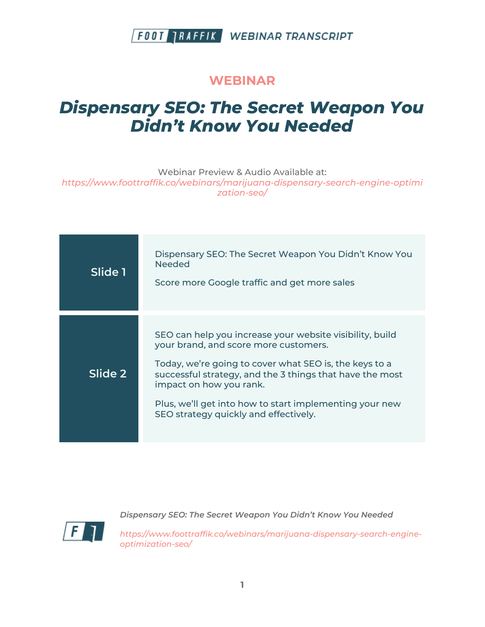#### **WEBINAR**

# *Dispensary SEO: The Secret Weapon You Didn't Know You Needed*

Webinar Preview & Audio Available at:

*https://www.foottraffik.co/webinars/marijuana-dispensary-search-engine-optimi zation-seo/*

| Slide 1 | Dispensary SEO: The Secret Weapon You Didn't Know You<br><b>Needed</b><br>Score more Google traffic and get more sales                                                                                                                                                                                                                                 |
|---------|--------------------------------------------------------------------------------------------------------------------------------------------------------------------------------------------------------------------------------------------------------------------------------------------------------------------------------------------------------|
| Slide 2 | SEO can help you increase your website visibility, build<br>your brand, and score more customers.<br>Today, we're going to cover what SEO is, the keys to a<br>successful strategy, and the 3 things that have the most<br>impact on how you rank.<br>Plus, we'll get into how to start implementing your new<br>SEO strategy quickly and effectively. |



*Dispensary SEO: The Secret Weapon You Didn't Know You Needed*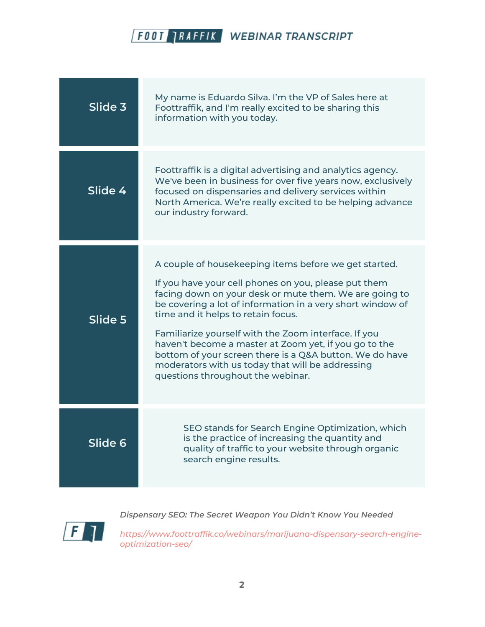| Slide 3 | My name is Eduardo Silva. I'm the VP of Sales here at<br>Foottraffik, and I'm really excited to be sharing this<br>information with you today.                                                                                                                                                                                                                                                                                                                                                                                                   |
|---------|--------------------------------------------------------------------------------------------------------------------------------------------------------------------------------------------------------------------------------------------------------------------------------------------------------------------------------------------------------------------------------------------------------------------------------------------------------------------------------------------------------------------------------------------------|
| Slide 4 | Foottraffik is a digital advertising and analytics agency.<br>We've been in business for over five years now, exclusively<br>focused on dispensaries and delivery services within<br>North America. We're really excited to be helping advance<br>our industry forward.                                                                                                                                                                                                                                                                          |
| Slide 5 | A couple of housekeeping items before we get started.<br>If you have your cell phones on you, please put them<br>facing down on your desk or mute them. We are going to<br>be covering a lot of information in a very short window of<br>time and it helps to retain focus.<br>Familiarize yourself with the Zoom interface. If you<br>haven't become a master at Zoom yet, if you go to the<br>bottom of your screen there is a Q&A button. We do have<br>moderators with us today that will be addressing<br>questions throughout the webinar. |
| Slide 6 | SEO stands for Search Engine Optimization, which<br>is the practice of increasing the quantity and<br>quality of traffic to your website through organic<br>search engine results.                                                                                                                                                                                                                                                                                                                                                               |

 $\sqrt{F}$ 

*Dispensary SEO: The Secret Weapon You Didn't Know You Needed*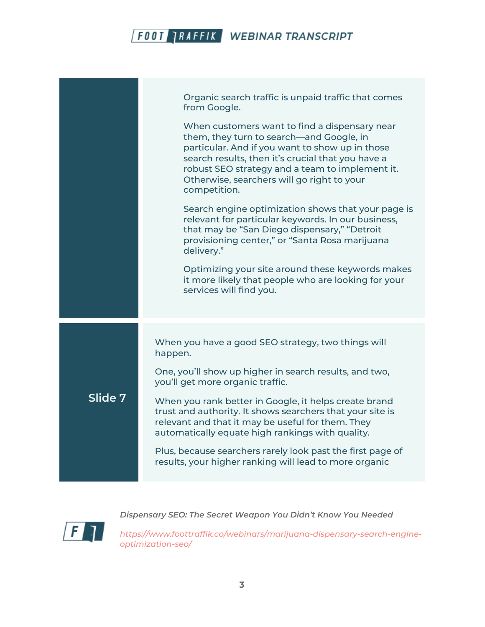

*Dispensary SEO: The Secret Weapon You Didn't Know You Needed*

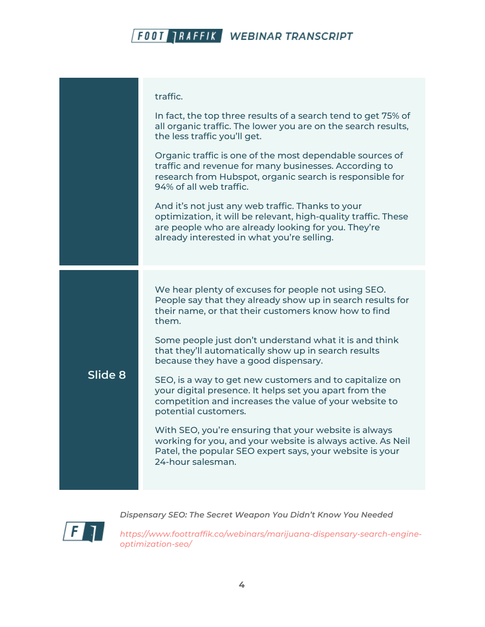|         | traffic.                                                                                                                                                                                                                 |
|---------|--------------------------------------------------------------------------------------------------------------------------------------------------------------------------------------------------------------------------|
|         | In fact, the top three results of a search tend to get 75% of<br>all organic traffic. The lower you are on the search results,<br>the less traffic you'll get.                                                           |
|         | Organic traffic is one of the most dependable sources of<br>traffic and revenue for many businesses. According to<br>research from Hubspot, organic search is responsible for<br>94% of all web traffic.                 |
|         | And it's not just any web traffic. Thanks to your<br>optimization, it will be relevant, high-quality traffic. These<br>are people who are already looking for you. They're<br>already interested in what you're selling. |
|         |                                                                                                                                                                                                                          |
| Slide 8 | We hear plenty of excuses for people not using SEO.<br>People say that they already show up in search results for<br>their name, or that their customers know how to find<br>them.                                       |
|         | Some people just don't understand what it is and think<br>that they'll automatically show up in search results<br>because they have a good dispensary.                                                                   |
|         | SEO, is a way to get new customers and to capitalize on<br>your digital presence. It helps set you apart from the<br>competition and increases the value of your website to<br>potential customers.                      |
|         | With SEO, you're ensuring that your website is always<br>working for you, and your website is always active. As Neil<br>Patel, the popular SEO expert says, your website is your<br>24-hour salesman.                    |
|         |                                                                                                                                                                                                                          |

*Dispensary SEO: The Secret Weapon You Didn't Know You Needed*

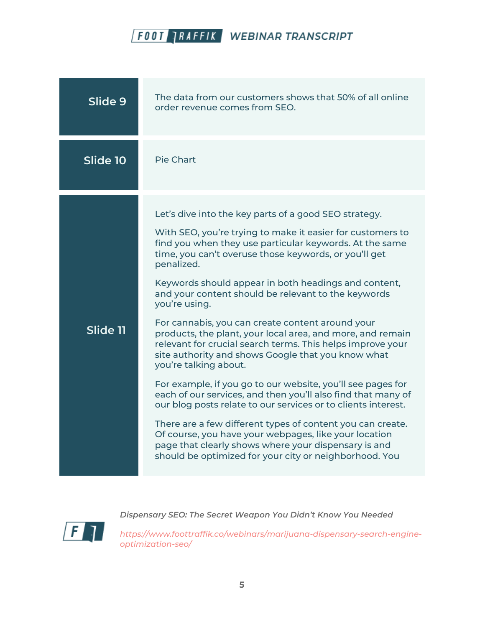

| Slide 9  | The data from our customers shows that 50% of all online<br>order revenue comes from SEO.                                                                                                                                                                                                                                                                                                                                                                                                                                                                                                                                                                                                                                                                                                                                                            |
|----------|------------------------------------------------------------------------------------------------------------------------------------------------------------------------------------------------------------------------------------------------------------------------------------------------------------------------------------------------------------------------------------------------------------------------------------------------------------------------------------------------------------------------------------------------------------------------------------------------------------------------------------------------------------------------------------------------------------------------------------------------------------------------------------------------------------------------------------------------------|
| Slide 10 | <b>Pie Chart</b>                                                                                                                                                                                                                                                                                                                                                                                                                                                                                                                                                                                                                                                                                                                                                                                                                                     |
| Slide 11 | Let's dive into the key parts of a good SEO strategy.<br>With SEO, you're trying to make it easier for customers to<br>find you when they use particular keywords. At the same<br>time, you can't overuse those keywords, or you'll get<br>penalized.<br>Keywords should appear in both headings and content,<br>and your content should be relevant to the keywords<br>you're using.<br>For cannabis, you can create content around your<br>products, the plant, your local area, and more, and remain<br>relevant for crucial search terms. This helps improve your<br>site authority and shows Google that you know what<br>you're talking about.<br>For example, if you go to our website, you'll see pages for<br>each of our services, and then you'll also find that many of<br>our blog posts relate to our services or to clients interest. |
|          | There are a few different types of content you can create.<br>Of course, you have your webpages, like your location<br>page that clearly shows where your dispensary is and<br>should be optimized for your city or neighborhood. You                                                                                                                                                                                                                                                                                                                                                                                                                                                                                                                                                                                                                |

 $\sqrt{F}$ 

*Dispensary SEO: The Secret Weapon You Didn't Know You Needed*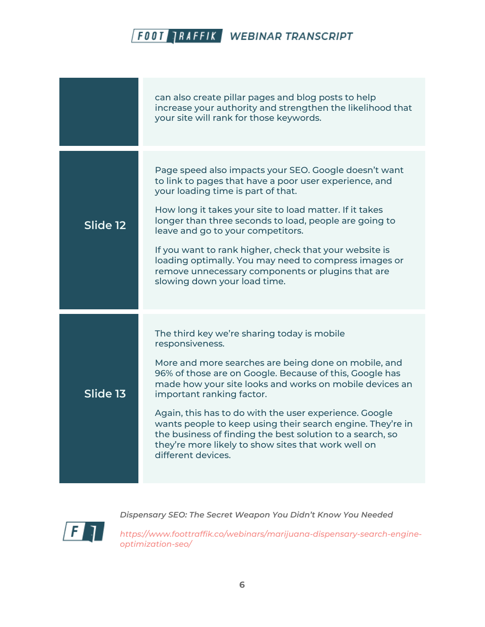|          | can also create pillar pages and blog posts to help<br>increase your authority and strengthen the likelihood that<br>your site will rank for those keywords.                                                                                                                                                                                                                                                                                                                                                                                |
|----------|---------------------------------------------------------------------------------------------------------------------------------------------------------------------------------------------------------------------------------------------------------------------------------------------------------------------------------------------------------------------------------------------------------------------------------------------------------------------------------------------------------------------------------------------|
| Slide 12 | Page speed also impacts your SEO. Google doesn't want<br>to link to pages that have a poor user experience, and<br>your loading time is part of that.<br>How long it takes your site to load matter. If it takes<br>longer than three seconds to load, people are going to<br>leave and go to your competitors.<br>If you want to rank higher, check that your website is<br>loading optimally. You may need to compress images or<br>remove unnecessary components or plugins that are<br>slowing down your load time.                     |
| Slide 13 | The third key we're sharing today is mobile<br>responsiveness.<br>More and more searches are being done on mobile, and<br>96% of those are on Google. Because of this, Google has<br>made how your site looks and works on mobile devices an<br>important ranking factor.<br>Again, this has to do with the user experience. Google<br>wants people to keep using their search engine. They're in<br>the business of finding the best solution to a search, so<br>they're more likely to show sites that work well on<br>different devices. |



*Dispensary SEO: The Secret Weapon You Didn't Know You Needed*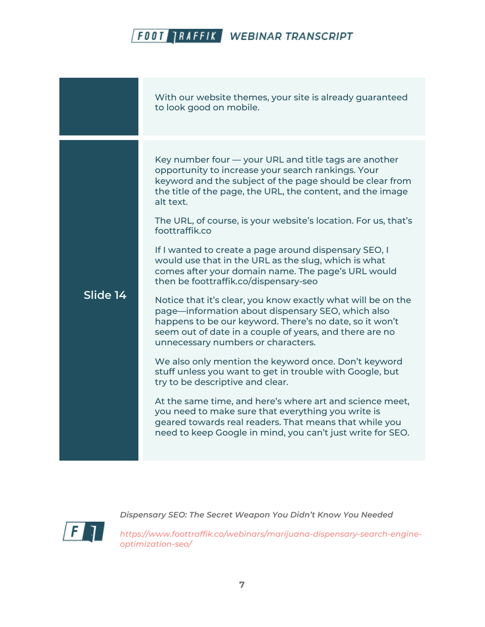|          | With our website themes, your site is already guaranteed<br>to look good on mobile.                                                                                                                                                                                                                                                                                                                                                                                                                                                                                                                                                                                                                                                                                                                                                                                                                                                                                                                                                                                                                                                                                                                                                       |
|----------|-------------------------------------------------------------------------------------------------------------------------------------------------------------------------------------------------------------------------------------------------------------------------------------------------------------------------------------------------------------------------------------------------------------------------------------------------------------------------------------------------------------------------------------------------------------------------------------------------------------------------------------------------------------------------------------------------------------------------------------------------------------------------------------------------------------------------------------------------------------------------------------------------------------------------------------------------------------------------------------------------------------------------------------------------------------------------------------------------------------------------------------------------------------------------------------------------------------------------------------------|
| Slide 14 | Key number four - your URL and title tags are another<br>opportunity to increase your search rankings. Your<br>keyword and the subject of the page should be clear from<br>the title of the page, the URL, the content, and the image<br>alt text.<br>The URL, of course, is your website's location. For us, that's<br>foottraffik.co<br>If I wanted to create a page around dispensary SEO, I<br>would use that in the URL as the slug, which is what<br>comes after your domain name. The page's URL would<br>then be foottraffik.co/dispensary-seo<br>Notice that it's clear, you know exactly what will be on the<br>page—information about dispensary SEO, which also<br>happens to be our keyword. There's no date, so it won't<br>seem out of date in a couple of years, and there are no<br>unnecessary numbers or characters.<br>We also only mention the keyword once. Don't keyword<br>stuff unless you want to get in trouble with Google, but<br>try to be descriptive and clear.<br>At the same time, and here's where art and science meet,<br>you need to make sure that everything you write is<br>geared towards real readers. That means that while you<br>need to keep Google in mind, you can't just write for SEO. |

 $\sqrt{F}$ 

*Dispensary SEO: The Secret Weapon You Didn't Know You Needed*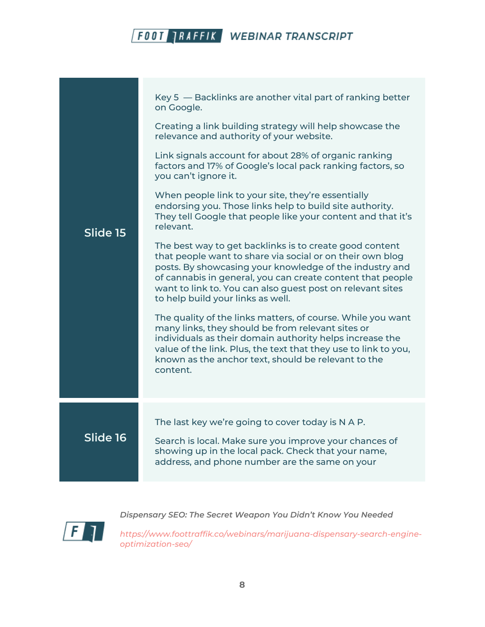|          | Key 5 – Backlinks are another vital part of ranking better<br>on Google.<br>Creating a link building strategy will help showcase the                                                                                                                                                                                                             |
|----------|--------------------------------------------------------------------------------------------------------------------------------------------------------------------------------------------------------------------------------------------------------------------------------------------------------------------------------------------------|
|          | relevance and authority of your website.                                                                                                                                                                                                                                                                                                         |
| Slide 15 | Link signals account for about 28% of organic ranking<br>factors and 17% of Google's local pack ranking factors, so<br>you can't ignore it.                                                                                                                                                                                                      |
|          | When people link to your site, they're essentially<br>endorsing you. Those links help to build site authority.<br>They tell Google that people like your content and that it's<br>relevant.                                                                                                                                                      |
|          | The best way to get backlinks is to create good content<br>that people want to share via social or on their own blog<br>posts. By showcasing your knowledge of the industry and<br>of cannabis in general, you can create content that people<br>want to link to. You can also guest post on relevant sites<br>to help build your links as well. |
|          | The quality of the links matters, of course. While you want<br>many links, they should be from relevant sites or<br>individuals as their domain authority helps increase the<br>value of the link. Plus, the text that they use to link to you,<br>known as the anchor text, should be relevant to the<br>content.                               |
|          |                                                                                                                                                                                                                                                                                                                                                  |
| Slide 16 | The last key we're going to cover today is N A P.<br>Search is local. Make sure you improve your chances of                                                                                                                                                                                                                                      |
|          | showing up in the local pack. Check that your name,<br>address, and phone number are the same on your                                                                                                                                                                                                                                            |

*Dispensary SEO: The Secret Weapon You Didn't Know You Needed*

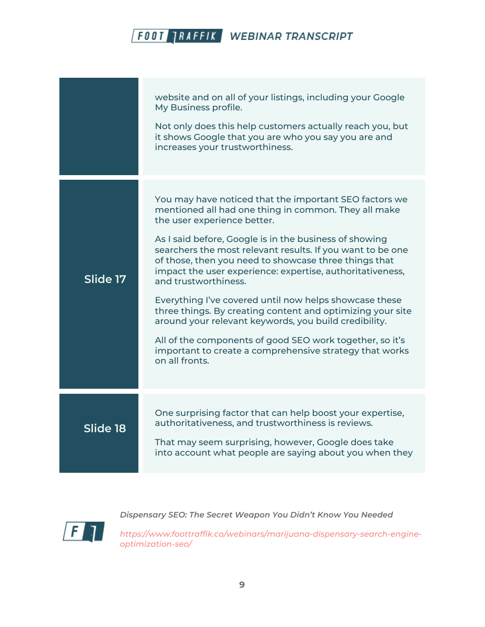|          | website and on all of your listings, including your Google<br>My Business profile.<br>Not only does this help customers actually reach you, but<br>it shows Google that you are who you say you are and<br>increases your trustworthiness.                                                                                                                                                                                                                                                                                                                                                                                                                                                                                                    |
|----------|-----------------------------------------------------------------------------------------------------------------------------------------------------------------------------------------------------------------------------------------------------------------------------------------------------------------------------------------------------------------------------------------------------------------------------------------------------------------------------------------------------------------------------------------------------------------------------------------------------------------------------------------------------------------------------------------------------------------------------------------------|
| Slide 17 | You may have noticed that the important SEO factors we<br>mentioned all had one thing in common. They all make<br>the user experience better.<br>As I said before, Google is in the business of showing<br>searchers the most relevant results. If you want to be one<br>of those, then you need to showcase three things that<br>impact the user experience: expertise, authoritativeness,<br>and trustworthiness.<br>Everything I've covered until now helps showcase these<br>three things. By creating content and optimizing your site<br>around your relevant keywords, you build credibility.<br>All of the components of good SEO work together, so it's<br>important to create a comprehensive strategy that works<br>on all fronts. |
| Slide 18 | One surprising factor that can help boost your expertise,<br>authoritativeness, and trustworthiness is reviews.<br>That may seem surprising, however, Google does take<br>into account what people are saying about you when they                                                                                                                                                                                                                                                                                                                                                                                                                                                                                                             |

 $\sqrt{F}$ 

*Dispensary SEO: The Secret Weapon You Didn't Know You Needed*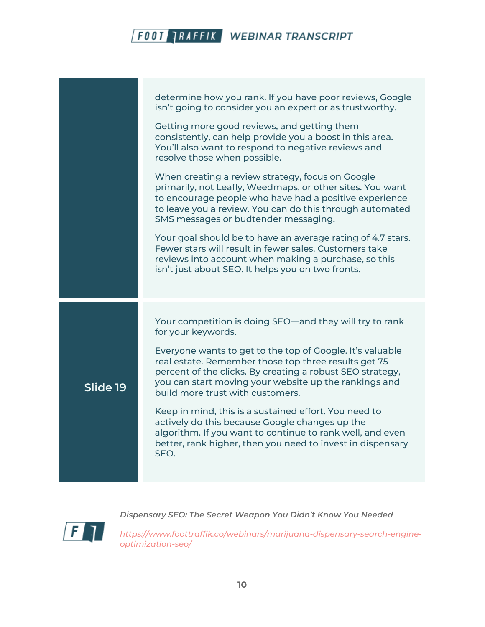|          | determine how you rank. If you have poor reviews, Google<br>isn't going to consider you an expert or as trustworthy.                                                                                                                                                        |
|----------|-----------------------------------------------------------------------------------------------------------------------------------------------------------------------------------------------------------------------------------------------------------------------------|
|          | Getting more good reviews, and getting them<br>consistently, can help provide you a boost in this area.<br>You'll also want to respond to negative reviews and<br>resolve those when possible.                                                                              |
|          | When creating a review strategy, focus on Google<br>primarily, not Leafly, Weedmaps, or other sites. You want<br>to encourage people who have had a positive experience<br>to leave you a review. You can do this through automated<br>SMS messages or budtender messaging. |
|          | Your goal should be to have an average rating of 4.7 stars.<br>Fewer stars will result in fewer sales. Customers take<br>reviews into account when making a purchase, so this<br>isn't just about SEO. It helps you on two fronts.                                          |
|          | Your competition is doing SEO—and they will try to rank                                                                                                                                                                                                                     |
|          | for your keywords.                                                                                                                                                                                                                                                          |
| Slide 19 | Everyone wants to get to the top of Google. It's valuable<br>real estate. Remember those top three results get 75<br>percent of the clicks. By creating a robust SEO strategy,<br>you can start moving your website up the rankings and<br>build more trust with customers. |
|          | Keep in mind, this is a sustained effort. You need to<br>actively do this because Google changes up the<br>algorithm. If you want to continue to rank well, and even<br>better, rank higher, then you need to invest in dispensary<br>SEO.                                  |
|          |                                                                                                                                                                                                                                                                             |

 $\sqrt{F}$ 

*Dispensary SEO: The Secret Weapon You Didn't Know You Needed*